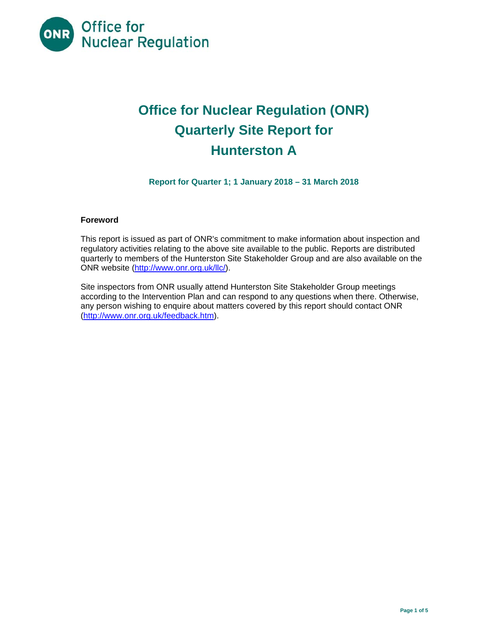

# **Office for Nuclear Regulation (ONR) Quarterly Site Report for Hunterston A**

**Report for Quarter 1; 1 January 2018 – 31 March 2018** 

#### **Foreword**

This report is issued as part of ONR's commitment to make information about inspection and regulatory activities relating to the above site available to the public. Reports are distributed quarterly to members of the Hunterston Site Stakeholder Group and are also available on the ONR website (http://www.onr.org.uk/llc/).

Site inspectors from ONR usually attend Hunterston Site Stakeholder Group meetings according to the Intervention Plan and can respond to any questions when there. Otherwise, any person wishing to enquire about matters covered by this report should contact ONR (http://www.onr.org.uk/feedback.htm).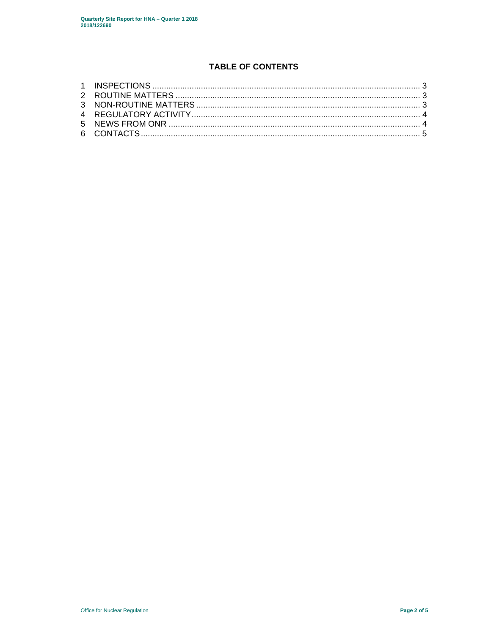## **TABLE OF CONTENTS**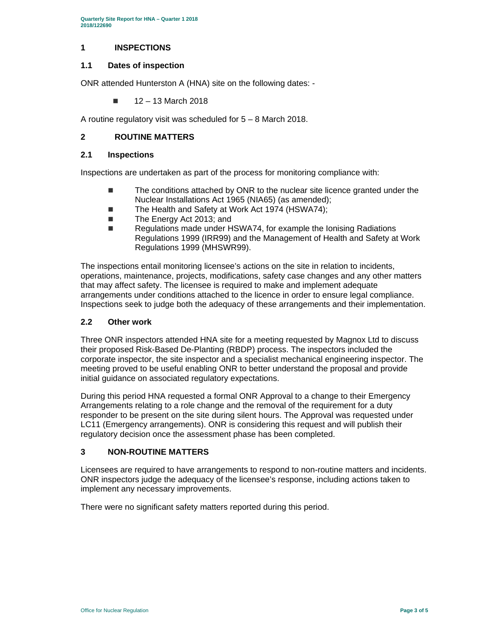#### **1 INSPECTIONS**

#### **1.1 Dates of inspection**

ONR attended Hunterston A (HNA) site on the following dates: -

 $12 - 13$  March 2018

A routine regulatory visit was scheduled for 5 – 8 March 2018.

### **2 ROUTINE MATTERS**

#### **2.1 Inspections**

Inspections are undertaken as part of the process for monitoring compliance with:

- The conditions attached by ONR to the nuclear site licence granted under the Nuclear Installations Act 1965 (NIA65) (as amended);
- The Health and Safety at Work Act 1974 (HSWA74);
- The Energy Act 2013; and
- Regulations made under HSWA74, for example the Ionising Radiations Regulations 1999 (IRR99) and the Management of Health and Safety at Work Regulations 1999 (MHSWR99).

The inspections entail monitoring licensee's actions on the site in relation to incidents, operations, maintenance, projects, modifications, safety case changes and any other matters that may affect safety. The licensee is required to make and implement adequate arrangements under conditions attached to the licence in order to ensure legal compliance. Inspections seek to judge both the adequacy of these arrangements and their implementation.

#### **2.2 Other work**

Three ONR inspectors attended HNA site for a meeting requested by Magnox Ltd to discuss their proposed Risk-Based De-Planting (RBDP) process. The inspectors included the corporate inspector, the site inspector and a specialist mechanical engineering inspector. The meeting proved to be useful enabling ONR to better understand the proposal and provide initial guidance on associated regulatory expectations.

During this period HNA requested a formal ONR Approval to a change to their Emergency Arrangements relating to a role change and the removal of the requirement for a duty responder to be present on the site during silent hours. The Approval was requested under LC11 (Emergency arrangements). ONR is considering this request and will publish their regulatory decision once the assessment phase has been completed.

#### **3 NON-ROUTINE MATTERS**

Licensees are required to have arrangements to respond to non-routine matters and incidents. ONR inspectors judge the adequacy of the licensee's response, including actions taken to implement any necessary improvements.

There were no significant safety matters reported during this period.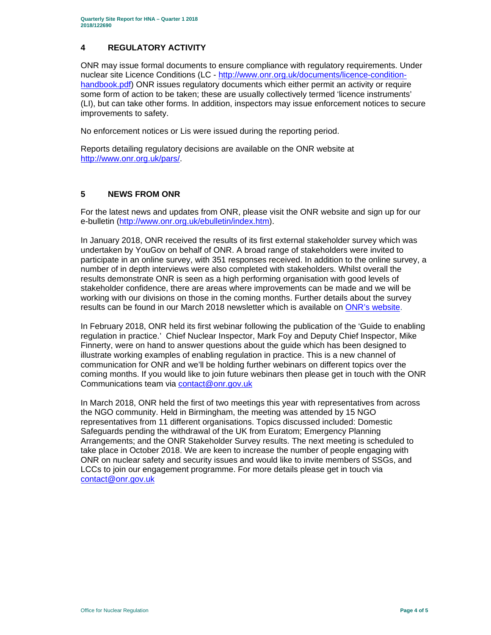#### **4 REGULATORY ACTIVITY**

ONR may issue formal documents to ensure compliance with regulatory requirements. Under nuclear site Licence Conditions (LC - http://www.onr.org.uk/documents/licence-conditionhandbook.pdf) ONR issues regulatory documents which either permit an activity or require some form of action to be taken; these are usually collectively termed 'licence instruments' (LI), but can take other forms. In addition, inspectors may issue enforcement notices to secure improvements to safety.

No enforcement notices or Lis were issued during the reporting period.

Reports detailing regulatory decisions are available on the ONR website at http://www.onr.org.uk/pars/.

## **5 NEWS FROM ONR**

For the latest news and updates from ONR, please visit the ONR website and sign up for our e-bulletin (http://www.onr.org.uk/ebulletin/index.htm).

In January 2018, ONR received the results of its first external stakeholder survey which was undertaken by YouGov on behalf of ONR. A broad range of stakeholders were invited to participate in an online survey, with 351 responses received. In addition to the online survey, a number of in depth interviews were also completed with stakeholders. Whilst overall the results demonstrate ONR is seen as a high performing organisation with good levels of stakeholder confidence, there are areas where improvements can be made and we will be working with our divisions on those in the coming months. Further details about the survey results can be found in our March 2018 newsletter which is available on ONR's website.

In February 2018, ONR held its first webinar following the publication of the 'Guide to enabling regulation in practice.' Chief Nuclear Inspector, Mark Foy and Deputy Chief Inspector, Mike Finnerty, were on hand to answer questions about the guide which has been designed to illustrate working examples of enabling regulation in practice. This is a new channel of communication for ONR and we'll be holding further webinars on different topics over the coming months. If you would like to join future webinars then please get in touch with the ONR Communications team via contact@onr.gov.uk

In March 2018, ONR held the first of two meetings this year with representatives from across the NGO community. Held in Birmingham, the meeting was attended by 15 NGO representatives from 11 different organisations. Topics discussed included: Domestic Safeguards pending the withdrawal of the UK from Euratom; Emergency Planning Arrangements; and the ONR Stakeholder Survey results. The next meeting is scheduled to take place in October 2018. We are keen to increase the number of people engaging with ONR on nuclear safety and security issues and would like to invite members of SSGs, and LCCs to join our engagement programme. For more details please get in touch via contact@onr.gov.uk